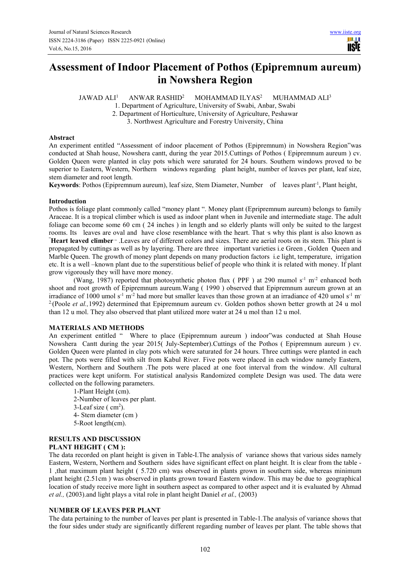# **Assessment of Indoor Placement of Pothos (Epipremnum aureum) in Nowshera Region**

 $IAWAD ALI<sup>1</sup>$  ANWAR RASHID<sup>2</sup> MOHAMMAD ILYAS<sup>2</sup> MUHAMMAD ALI<sup>3</sup>

1. Department of Agriculture, University of Swabi, Anbar, Swabi

2. Department of Horticulture, University of Agriculture, Peshawar

3. Northwest Agriculture and Forestry University, China

## **Abstract**

An experiment entitled "Assessment of indoor placement of Pothos (Epipremnum) in Nowshera Region"was conducted at Shah house, Nowshera cantt, during the year 2015.Cuttings of Pothos ( Epipremnum aureum ) cv. Golden Queen were planted in clay pots which were saturated for 24 hours. Southern windows proved to be superior to Eastern, Western, Northern windows regarding plant height, number of leaves per plant, leaf size, stem diameter and root length.

**Keywords**: Pothos (Epipremnum aureum), leaf size, Stem Diameter, Number of leaves plant<sup>-1</sup>, Plant height,

## **Introduction**

Pothos is foliage plant commonly called "money plant ". Money plant (Epripremnum aureum) belongs to family Araceae. It is a tropical climber which is used as indoor plant when in Juvenile and intermediate stage. The adult foliage can become some 60 cm ( 24 inches ) in length and so elderly plants will only be suited to the largest rooms. Its leaves are oval and have close resemblance with the heart. That *s* why this plant is also known as "**Heart leaved climber** ». Leaves are of different colors and sizes. There are aerial roots on its stem. This plant is propagated by cuttings as well as by layering. There are three important varieties i.e Green , Golden Queen and Marble Queen. The growth of money plant depends on many production factors i.e light, temperature, irrigation etc. It is a well –known plant due to the superstitious belief of people who think it is related with money. If plant grow vigorously they will have more money.

(Wang, 1987) reported that photosynthetic photon flux (PPF) at 290 mumol  $s^{-1}$  m<sup>-2</sup> enhanced both shoot and root growth of Epipremnum aureum.Wang ( 1990 ) observed that Epipremnum aureum grown at an irradiance of 1000 umol s<sup>-1</sup> m<sup>-2</sup> had more but smaller leaves than those grown at an irradiance of 420 umol s<sup>-1</sup> m<sup>-</sup> <sup>2</sup>(Poole *et al.*, 1992) determined that Epipremnum aureum cv. Golden pothos shown better growth at 24 u mol than 12 u mol. They also observed that plant utilized more water at 24 u mol than 12 u mol.

## **MATERIALS AND METHODS**

An experiment entitled " Where to place (Epipremnum aureum ) indoor"was conducted at Shah House Nowshera Cantt during the year 2015( July-September).Cuttings of the Pothos ( Epipremnum aureum ) cv. Golden Queen were planted in clay pots which were saturated for 24 hours. Three cuttings were planted in each pot. The pots were filled with silt from Kabul River. Five pots were placed in each window namely Eastern, Western, Northern and Southern .The pots were placed at one foot interval from the window. All cultural practices were kept uniform. For statistical analysis Randomized complete Design was used. The data were collected on the following parameters.

1-Plant Height (cm). 2-Number of leaves per plant. 3-Leaf size  $(\text{ cm}^2)$ . 4- Stem diameter (cm ) 5-Root length(cm).

## **RESULTS AND DISCUSSION**

## **PLANT HEIGHT ( CM ):**

The data recorded on plant height is given in Table-I.The analysis of variance shows that various sides namely Eastern, Western, Northern and Southern sides have significant effect on plant height. It is clear from the table - 1 ,that maximum plant height ( 5.720 cm) was observed in plants grown in southern side, whereas minimum plant height (2.51cm ) was observed in plants grown toward Eastern window. This may be due to geographical location of study receive more light in southern aspect as compared to other aspect and it is evaluated by Ahmad *et al.,* (2003).and light plays a vital role in plant height Daniel *et al.,* (2003)

## **NUMBER OF LEAVES PER PLANT**

The data pertaining to the number of leaves per plant is presented in Table-1.The analysis of variance shows that the four sides under study are significantly different regarding number of leaves per plant. The table shows that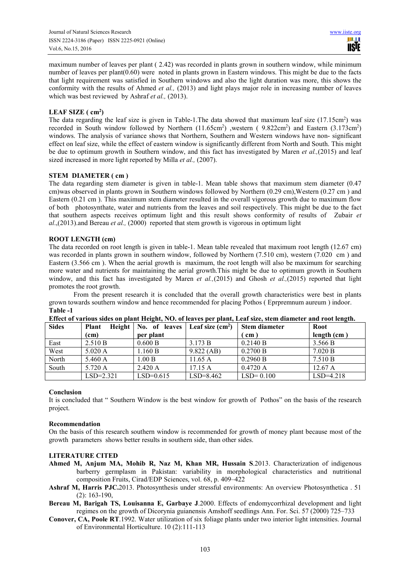maximum number of leaves per plant ( 2.42) was recorded in plants grown in southern window, while minimum number of leaves per plant(0.60) were noted in plants grown in Eastern windows. This might be due to the facts that light requirement was satisfied in Southern windows and also the light duration was more, this shows the conformity with the results of Ahmed *et al.,* (2013) and light plays major role in increasing number of leaves which was best reviewed by Ashraf *et al.*, (2013).

# **LEAF SIZE ( cm<sup>2</sup> )**

The data regarding the leaf size is given in Table-1. The data showed that maximum leaf size  $(17.15cm^2)$  was recorded in South window followed by Northern (11.65cm<sup>2</sup>), western (9.822cm<sup>2</sup>) and Eastern (3.173cm<sup>2</sup>) windows. The analysis of variance shows that Northern, Southern and Western windows have non- significant effect on leaf size, while the effect of eastern window is significantly different from North and South. This might be due to optimum growth in Southern window, and this fact has investigated by Maren *et al.,*(2015) and leaf sized increased in more light reported by Milla *et al.,* (2007).

## **STEM DIAMETER ( cm )**

The data regarding stem diameter is given in table-1. Mean table shows that maximum stem diameter (0.47 cm)was observed in plants grown in Southern windows followed by Northern (0.29 cm),Western (0.27 cm ) and Eastern (0.21 cm ). This maximum stem diameter resulted in the overall vigorous growth due to maximum flow of both photosynthate, water and nutrients from the leaves and soil respectively. This might be due to the fact that southern aspects receives optimum light and this result shows conformity of results of Zubair *et al*.,(2013).and Bereau *et al.,* (2000) reported that stem growth is vigorous in optimum light

## **ROOT LENGTH (cm)**

The data recorded on root length is given in table-1. Mean table revealed that maximum root length (12.67 cm) was recorded in plants grown in southern window, followed by Northern (7.510 cm), western (7.020 cm ) and Eastern (3.566 cm ). When the aerial growth is maximum, the root length will also be maximum for searching more water and nutrients for maintaining the aerial growth.This might be due to optimum growth in Southern window, and this fact has investigated by Maren *et al.,*(2015) and Ghosh *et al.,*(2015) reported that light promotes the root growth.

From the present research it is concluded that the overall growth characteristics were best in plants grown towards southern window and hence recommended for placing Pothos ( Eprpremnum aureum ) indoor. **Table -1** 

| mitted as the company on himse resident that was also has the himself many and a minimately himself contracts |                               |                                   |             |                      |               |
|---------------------------------------------------------------------------------------------------------------|-------------------------------|-----------------------------------|-------------|----------------------|---------------|
| <b>Sides</b>                                                                                                  | <b>Height</b><br><b>Plant</b> | No. of leaves   Leaf size $(cm2)$ |             | <b>Stem diameter</b> | Root          |
|                                                                                                               | (c <sub>m</sub> )             | per plant                         |             | cm                   | length $(cm)$ |
| East                                                                                                          | 2.510 B                       | 0.600 B                           | 3.173 B     | 0.2140 B             | 3.566 B       |
| West                                                                                                          | 5.020 A                       | 1.160 B                           | 9.822(AB)   | 0.2700 B             | 7.020 B       |
| North                                                                                                         | 5.460 A                       | 1.00 B                            | 11.65A      | 0.2960 B             | 7.510 B       |
| South                                                                                                         | 5.720 A                       | 2.420 A                           | 17.15A      | 0.4720A              | 12.67A        |
|                                                                                                               | $LSD = 2.321$                 | $LSD=0.615$                       | $LSD=8.462$ | $LSD = 0.100$        | $LSD=4.218$   |

**Effect of various sides on plant Height, NO. of leaves per plant, Leaf size, stem diameter and root length.** 

## **Conclusion**

It is concluded that " Southern Window is the best window for growth of Pothos" on the basis of the research project.

## **Recommendation**

On the basis of this research southern window is recommended for growth of money plant because most of the growth parameters shows better results in southern side, than other sides.

## **LITERATURE CITED**

- **Ahmed M, Anjum MA, Mohib R, Naz M, Khan MR, Hussain S**.2013. Characterization of indigenous barberry germplasm in Pakistan: variability in morphological characteristics and nutritional composition Fruits, Cirad/EDP Sciences, vol. 68, p. 409–422
- **Ashraf M, Harris PJC.**2013. Photosynthesis under stressful environments: An overview Photosynthetica . 51 (2): 163-190,
- **Bereau M, Barigah TS, Louisanna E, Garbaye J**.2000. Effects of endomycorrhizal development and light regimes on the growth of Dicorynia guianensis Amshoff seedlings Ann. For. Sci. 57 (2000) 725–733
- **Conover, CA, Poole RT**.1992. Water utilization of six foliage plants under two interior light intensities. Journal of Environmental Horticulture. 10 (2):111-113